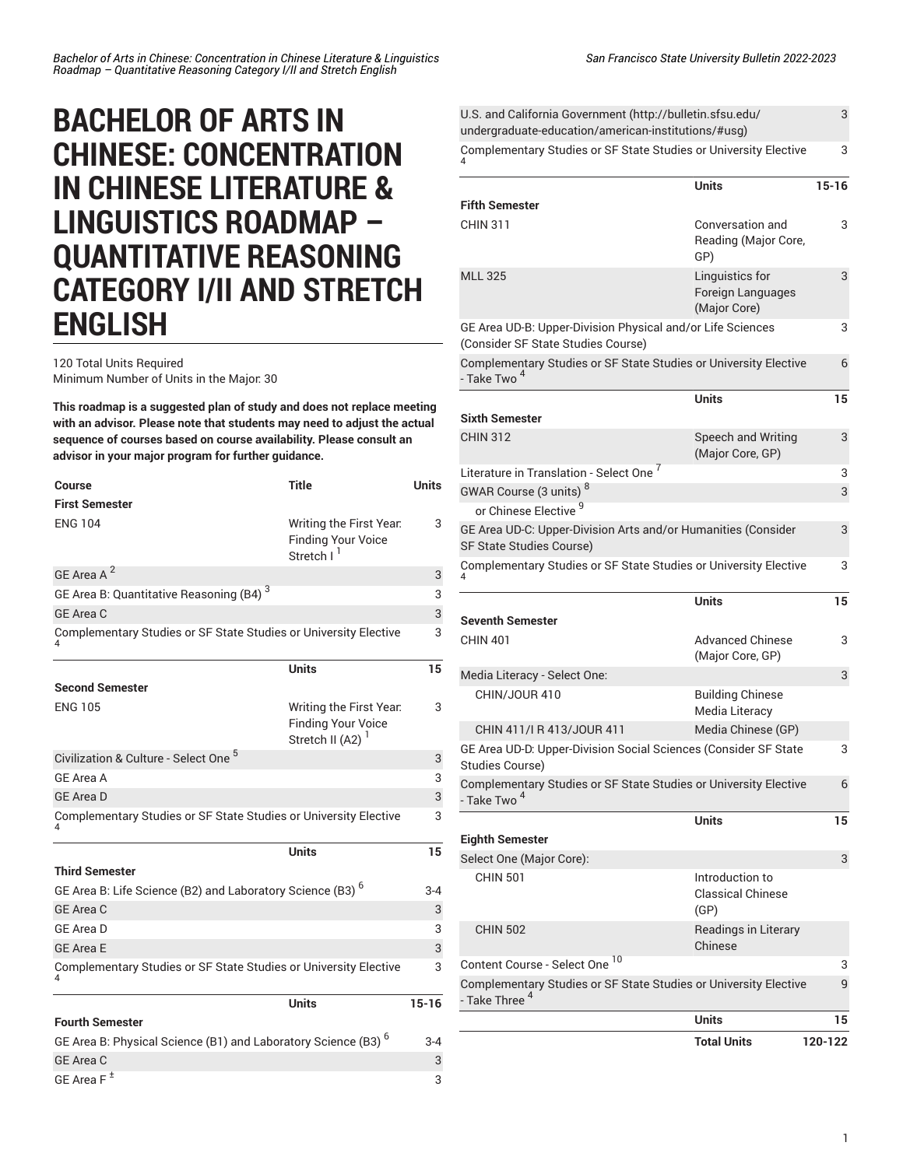# **BACHELOR OF ARTS IN CHINESE: CONCENTRATION IN CHINESE LITERATURE & LINGUISTICS ROADMAP – QUANTITATIVE REASONING CATEGORY I/II AND STRETCH ENGLISH**

120 Total Units Required Minimum Number of Units in the Major: 30

GE [Area](/undergraduate-education/general-education/lower-division/#areaftext) F  $^{\pm}$ 

**This roadmap is a suggested plan of study and does not replace meeting with an advisor. Please note that students may need to adjust the actual sequence of courses based on course availability. Please consult an advisor in your major program for further guidance.**

| Course                                                                    | <b>Title</b>                                                                   | <b>Units</b> |
|---------------------------------------------------------------------------|--------------------------------------------------------------------------------|--------------|
| <b>First Semester</b>                                                     |                                                                                |              |
| <b>ENG 104</b>                                                            | Writing the First Year.<br><b>Finding Your Voice</b><br>Stretch I <sup>I</sup> | 3            |
| GE Area A <sup>2</sup>                                                    |                                                                                | 3            |
| GE Area B: Quantitative Reasoning (B4) <sup>3</sup>                       |                                                                                | 3            |
| <b>GE Area C</b>                                                          |                                                                                | 3            |
| Complementary Studies or SF State Studies or University Elective          |                                                                                | 3            |
|                                                                           | <b>Units</b>                                                                   | 15           |
| <b>Second Semester</b>                                                    |                                                                                |              |
| <b>ENG 105</b>                                                            | Writing the First Year.<br><b>Finding Your Voice</b><br>Stretch II (A2) $1$    | 3            |
| Civilization & Culture - Select One <sup>5</sup>                          |                                                                                | 3            |
| GE Area A                                                                 |                                                                                | 3            |
| <b>GE Area D</b>                                                          |                                                                                | 3            |
| Complementary Studies or SF State Studies or University Elective          |                                                                                | 3            |
|                                                                           | <b>Units</b>                                                                   | 15           |
| <b>Third Semester</b>                                                     |                                                                                |              |
| GE Area B: Life Science (B2) and Laboratory Science (B3) <sup>6</sup>     |                                                                                | $3-4$        |
| <b>GE Area C</b>                                                          |                                                                                | 3            |
| GE Area D                                                                 |                                                                                | 3            |
| <b>GE Area E</b>                                                          |                                                                                | 3            |
| Complementary Studies or SF State Studies or University Elective          |                                                                                | 3            |
|                                                                           | <b>Units</b>                                                                   | $15 - 16$    |
| <b>Fourth Semester</b>                                                    |                                                                                |              |
| GE Area B: Physical Science (B1) and Laboratory Science (B3) <sup>6</sup> |                                                                                | 3-4          |
| <b>GE Area C</b>                                                          |                                                                                | 3            |

3

|                                                                  | 3                                                                                                                                                                                                                                                                                                                                                                 |
|------------------------------------------------------------------|-------------------------------------------------------------------------------------------------------------------------------------------------------------------------------------------------------------------------------------------------------------------------------------------------------------------------------------------------------------------|
| Complementary Studies or SF State Studies or University Elective | 3                                                                                                                                                                                                                                                                                                                                                                 |
| <b>Units</b>                                                     | $15 - 16$                                                                                                                                                                                                                                                                                                                                                         |
|                                                                  |                                                                                                                                                                                                                                                                                                                                                                   |
| Conversation and<br>Reading (Major Core,<br>GP)                  | 3                                                                                                                                                                                                                                                                                                                                                                 |
| Linguistics for<br>Foreign Languages<br>(Major Core)             | 3                                                                                                                                                                                                                                                                                                                                                                 |
|                                                                  | 3                                                                                                                                                                                                                                                                                                                                                                 |
| Complementary Studies or SF State Studies or University Elective | 6                                                                                                                                                                                                                                                                                                                                                                 |
| <b>Units</b>                                                     | 15                                                                                                                                                                                                                                                                                                                                                                |
| <b>Speech and Writing</b>                                        | 3                                                                                                                                                                                                                                                                                                                                                                 |
|                                                                  | 3                                                                                                                                                                                                                                                                                                                                                                 |
|                                                                  | 3                                                                                                                                                                                                                                                                                                                                                                 |
|                                                                  |                                                                                                                                                                                                                                                                                                                                                                   |
|                                                                  | 3                                                                                                                                                                                                                                                                                                                                                                 |
| Complementary Studies or SF State Studies or University Elective | 3                                                                                                                                                                                                                                                                                                                                                                 |
| <b>Units</b>                                                     | 15                                                                                                                                                                                                                                                                                                                                                                |
|                                                                  |                                                                                                                                                                                                                                                                                                                                                                   |
| (Major Core, GP)                                                 | 3                                                                                                                                                                                                                                                                                                                                                                 |
|                                                                  | 3                                                                                                                                                                                                                                                                                                                                                                 |
| <b>Building Chinese</b><br>Media Literacy                        |                                                                                                                                                                                                                                                                                                                                                                   |
| Media Chinese (GP)                                               |                                                                                                                                                                                                                                                                                                                                                                   |
|                                                                  | 3                                                                                                                                                                                                                                                                                                                                                                 |
| Complementary Studies or SF State Studies or University Elective | 6                                                                                                                                                                                                                                                                                                                                                                 |
| <b>Units</b>                                                     | 15                                                                                                                                                                                                                                                                                                                                                                |
|                                                                  |                                                                                                                                                                                                                                                                                                                                                                   |
|                                                                  | 3                                                                                                                                                                                                                                                                                                                                                                 |
| Introduction to<br><b>Classical Chinese</b><br>(GP)              |                                                                                                                                                                                                                                                                                                                                                                   |
| Readings in Literary<br>Chinese                                  |                                                                                                                                                                                                                                                                                                                                                                   |
|                                                                  | 3                                                                                                                                                                                                                                                                                                                                                                 |
| Complementary Studies or SF State Studies or University Elective | 9                                                                                                                                                                                                                                                                                                                                                                 |
| <b>Units</b>                                                     | 15                                                                                                                                                                                                                                                                                                                                                                |
| <b>Total Units</b>                                               | 120-122                                                                                                                                                                                                                                                                                                                                                           |
|                                                                  | U.S. and California Government (http://bulletin.sfsu.edu/<br>undergraduate-education/american-institutions/#usg)<br>GE Area UD-B: Upper-Division Physical and/or Life Sciences<br>(Major Core, GP)<br>GE Area UD-C: Upper-Division Arts and/or Humanities (Consider<br><b>Advanced Chinese</b><br>GE Area UD-D: Upper-Division Social Sciences (Consider SF State |